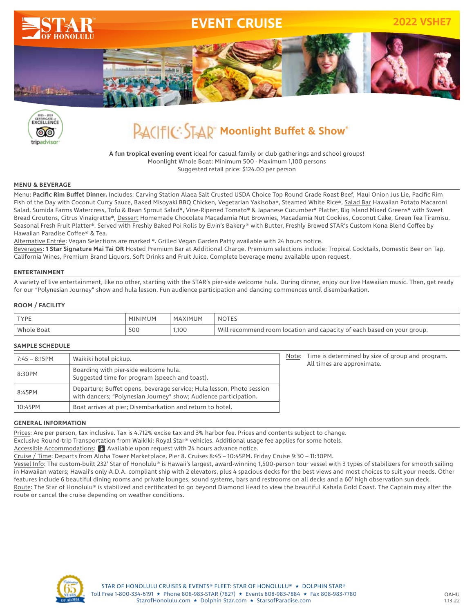



## **PACIFIC: STAP Moonlight Buffet & Show®**

**A fun tropical evening event** ideal for casual family or club gatherings and school groups! Moonlight Whole Boat: Minimum 500 - Maximum 1,100 persons Suggested retail price: \$124.00 per person

### **MENU & BEVERAGE**

Menu: **Pacific Rim Buffet Dinner.** Includes: Carving Station Alaea Salt Crusted USDA Choice Top Round Grade Roast Beef, Maui Onion Jus Lie, Pacific Rim Fish of the Day with Coconut Curry Sauce, Baked Misoyaki BBQ Chicken, Vegetarian Yakisoba❋, Steamed White Rice❋, Salad Bar Hawaiian Potato Macaroni Salad, Sumida Farms Watercress, Tofu & Bean Sprout Salad❋, Vine-Ripened Tomato❋ & Japanese Cucumber❋ Platter, Big Island Mixed Greens❋ with Sweet Bread Croutons, Citrus Vinaigrette\*, Dessert Homemade Chocolate Macadamia Nut Brownies, Macadamia Nut Cookies, Coconut Cake, Green Tea Tiramisu, Seasonal Fresh Fruit Platter❋. Served with Freshly Baked Poi Rolls by Elvin's Bakery® with Butter, Freshly Brewed STAR's Custom Kona Blend Coffee by Hawaiian Paradise Coffee® & Tea.

Alternative Entrée: Vegan Selections are marked ❋. Grilled Vegan Garden Patty available with 24 hours notice.

Beverages: **1 Star Signature Mai Tai OR** Hosted Premium Bar at Additional Charge. Premium selections include: Tropical Cocktails, Domestic Beer on Tap, California Wines, Premium Brand Liquors, Soft Drinks and Fruit Juice. Complete beverage menu available upon request.

### **ENTERTAINMENT**

A variety of live entertainment, like no other, starting with the STAR's pier-side welcome hula. During dinner, enjoy our live Hawaiian music. Then, get ready for our "Polynesian Journey" show and hula lesson. Fun audience participation and dancing commences until disembarkation.

### **ROOM / FACILITY**

| <b>TYPE</b>  | MINIMUM | MAXIMUM | <b>NOTES</b>                                                                |
|--------------|---------|---------|-----------------------------------------------------------------------------|
| Whole<br>Boa | 500     | 1,100   | Will<br>l recommend room location and capacity of each based on your group. |

### **SAMPLE SCHEDULE**

| $7:45 - 8:15$ PM | Waikiki hotel pickup.                                                                                                                     |  | Note: Time is determined by size of group and program.<br>All times are approximate. |
|------------------|-------------------------------------------------------------------------------------------------------------------------------------------|--|--------------------------------------------------------------------------------------|
| 8:30PM           | Boarding with pier-side welcome hula.<br>Suggested time for program (speech and toast).                                                   |  |                                                                                      |
| 8:45PM           | Departure; Buffet opens, beverage service; Hula lesson, Photo session<br>with dancers; "Polynesian Journey" show; Audience participation. |  |                                                                                      |
| 10:45PM          | Boat arrives at pier; Disembarkation and return to hotel.                                                                                 |  |                                                                                      |

#### **GENERAL INFORMATION**

Prices: Are per person, tax inclusive. Tax is 4.712% excise tax and 3% harbor fee. Prices and contents subject to change.

Exclusive Round-trip Transportation from Waikiki: Royal Star® vehicles. Additional usage fee applies for some hotels.

Accessible Accommodations:  $\mathbf{R}$  Available upon request with 24 hours advance notice.

Cruise / Time: Departs from Aloha Tower Marketplace, Pier 8. Cruises 8:45 – 10:45PM. Friday Cruise 9:30 – 11:30PM.

Vessel Info: The custom-built 232' Star of Honolulu® is Hawaii's largest, award-winning 1,500-person tour vessel with 3 types of stabilizers for smooth sailing in Hawaiian waters; Hawaii's only A.D.A. compliant ship with 2 elevators, plus 4 spacious decks for the best views and most choices to suit your needs. Other features include 6 beautiful dining rooms and private lounges, sound systems, bars and restrooms on all decks and a 60' high observation sun deck.

Route: The Star of Honolulu® is stabilized and certificated to go beyond Diamond Head to view the beautiful Kahala Gold Coast. The Captain may alter the route or cancel the cruise depending on weather conditions.